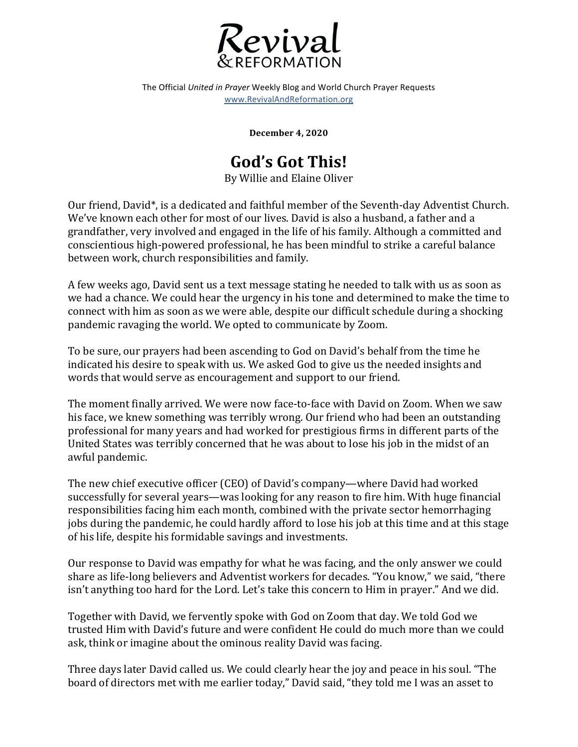

The Official *United in Prayer* Weekly Blog and World Church Prayer Requests www.RevivalAndReformation.org

**December 4, 2020**

## **God's Got This!**

By Willie and Elaine Oliver

Our friend, David<sup>\*</sup>, is a dedicated and faithful member of the Seventh-day Adventist Church. We've known each other for most of our lives. David is also a husband, a father and a grandfather, very involved and engaged in the life of his family. Although a committed and conscientious high-powered professional, he has been mindful to strike a careful balance between work, church responsibilities and family.

A few weeks ago, David sent us a text message stating he needed to talk with us as soon as we had a chance. We could hear the urgency in his tone and determined to make the time to connect with him as soon as we were able, despite our difficult schedule during a shocking pandemic ravaging the world. We opted to communicate by Zoom.

To be sure, our prayers had been ascending to God on David's behalf from the time he indicated his desire to speak with us. We asked God to give us the needed insights and words that would serve as encouragement and support to our friend.

The moment finally arrived. We were now face-to-face with David on Zoom. When we saw his face, we knew something was terribly wrong. Our friend who had been an outstanding professional for many years and had worked for prestigious firms in different parts of the United States was terribly concerned that he was about to lose his job in the midst of an awful pandemic.

The new chief executive officer (CEO) of David's company—where David had worked successfully for several years—was looking for any reason to fire him. With huge financial responsibilities facing him each month, combined with the private sector hemorrhaging jobs during the pandemic, he could hardly afford to lose his job at this time and at this stage of his life, despite his formidable savings and investments.

Our response to David was empathy for what he was facing, and the only answer we could share as life-long believers and Adventist workers for decades. "You know," we said, "there isn't anything too hard for the Lord. Let's take this concern to Him in prayer." And we did.

Together with David, we fervently spoke with God on Zoom that day. We told God we trusted Him with David's future and were confident He could do much more than we could ask, think or imagine about the ominous reality David was facing.

Three days later David called us. We could clearly hear the joy and peace in his soul. "The board of directors met with me earlier today," David said, "they told me I was an asset to